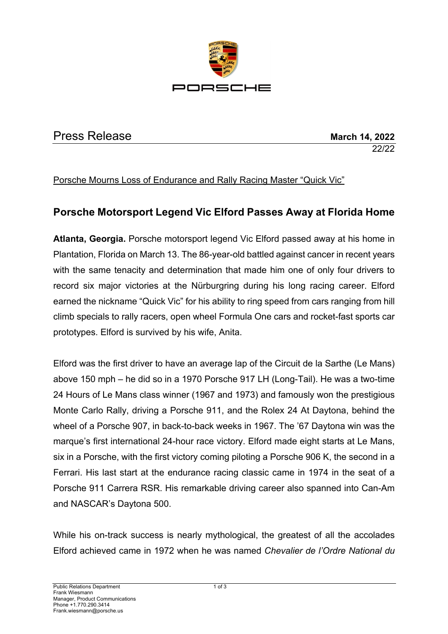

# **Press Release March 14, 2022**

22/22

Porsche Mourns Loss of Endurance and Rally Racing Master "Quick Vic"

## **Porsche Motorsport Legend Vic Elford Passes Away at Florida Home**

**Atlanta, Georgia.** Porsche motorsport legend Vic Elford passed away at his home in Plantation, Florida on March 13. The 86-year-old battled against cancer in recent years with the same tenacity and determination that made him one of only four drivers to record six major victories at the Nürburgring during his long racing career. Elford earned the nickname "Quick Vic" for his ability to ring speed from cars ranging from hill climb specials to rally racers, open wheel Formula One cars and rocket-fast sports car prototypes. Elford is survived by his wife, Anita.

Elford was the first driver to have an average lap of the Circuit de la Sarthe (Le Mans) above 150 mph – he did so in a 1970 Porsche 917 LH (Long-Tail). He was a two-time 24 Hours of Le Mans class winner (1967 and 1973) and famously won the prestigious Monte Carlo Rally, driving a Porsche 911, and the Rolex 24 At Daytona, behind the wheel of a Porsche 907, in back-to-back weeks in 1967. The '67 Daytona win was the marque's first international 24-hour race victory. Elford made eight starts at Le Mans, six in a Porsche, with the first victory coming piloting a Porsche 906 K, the second in a Ferrari. His last start at the endurance racing classic came in 1974 in the seat of a Porsche 911 Carrera RSR. His remarkable driving career also spanned into Can-Am and NASCAR's Daytona 500.

While his on-track success is nearly mythological, the greatest of all the accolades Elford achieved came in 1972 when he was named *Chevalier de l'Ordre National du*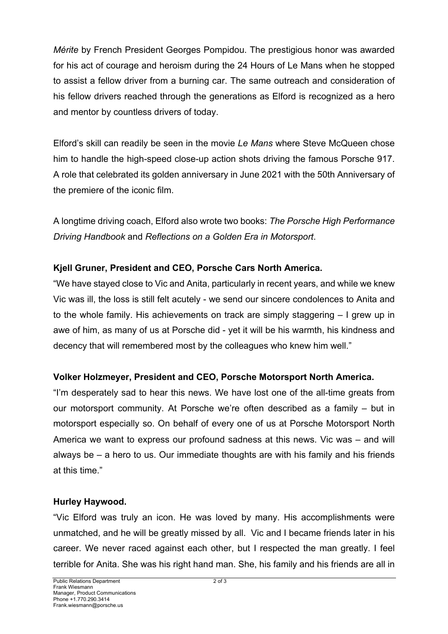*Mérite* by French President Georges Pompidou. The prestigious honor was awarded for his act of courage and heroism during the 24 Hours of Le Mans when he stopped to assist a fellow driver from a burning car. The same outreach and consideration of his fellow drivers reached through the generations as Elford is recognized as a hero and mentor by countless drivers of today.

Elford's skill can readily be seen in the movie *Le Mans* where Steve McQueen chose him to handle the high-speed close-up action shots driving the famous Porsche 917. A role that celebrated its golden anniversary in June 2021 with the 50th Anniversary of the premiere of the iconic film.

A longtime driving coach, Elford also wrote two books: *The Porsche High Performance Driving Handbook* and *Reflections on a Golden Era in Motorsport*.

### **Kjell Gruner, President and CEO, Porsche Cars North America.**

"We have stayed close to Vic and Anita, particularly in recent years, and while we knew Vic was ill, the loss is still felt acutely - we send our sincere condolences to Anita and to the whole family. His achievements on track are simply staggering – I grew up in awe of him, as many of us at Porsche did - yet it will be his warmth, his kindness and decency that will remembered most by the colleagues who knew him well."

## **Volker Holzmeyer, President and CEO, Porsche Motorsport North America.**

"I'm desperately sad to hear this news. We have lost one of the all-time greats from our motorsport community. At Porsche we're often described as a family – but in motorsport especially so. On behalf of every one of us at Porsche Motorsport North America we want to express our profound sadness at this news. Vic was – and will always be – a hero to us. Our immediate thoughts are with his family and his friends at this time."

### **Hurley Haywood.**

"Vic Elford was truly an icon. He was loved by many. His accomplishments were unmatched, and he will be greatly missed by all. Vic and I became friends later in his career. We never raced against each other, but I respected the man greatly. I feel terrible for Anita. She was his right hand man. She, his family and his friends are all in